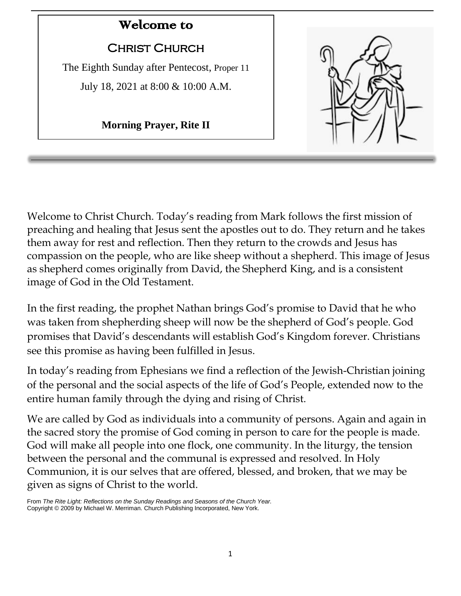# Welcome to Christ Church The Eighth Sunday after Pentecost, Proper 11 July 18, 2021 at 8:00 & 10:00 A.M. **Morning Prayer, Rite II**

Welcome to Christ Church. Today's reading from Mark follows the first mission of preaching and healing that Jesus sent the apostles out to do. They return and he takes them away for rest and reflection. Then they return to the crowds and Jesus has compassion on the people, who are like sheep without a shepherd. This image of Jesus as shepherd comes originally from David, the Shepherd King, and is a consistent image of God in the Old Testament.

In the first reading, the prophet Nathan brings God's promise to David that he who was taken from shepherding sheep will now be the shepherd of God's people. God promises that David's descendants will establish God's Kingdom forever. Christians see this promise as having been fulfilled in Jesus.

In today's reading from Ephesians we find a reflection of the Jewish-Christian joining of the personal and the social aspects of the life of God's People, extended now to the entire human family through the dying and rising of Christ.

We are called by God as individuals into a community of persons. Again and again in the sacred story the promise of God coming in person to care for the people is made. God will make all people into one flock, one community. In the liturgy, the tension between the personal and the communal is expressed and resolved. In Holy Communion, it is our selves that are offered, blessed, and broken, that we may be given as signs of Christ to the world.

From *The Rite Light: Reflections on the Sunday Readings and Seasons of the Church Year.* Copyright © 2009 by Michael W. Merriman. Church Publishing Incorporated, New York.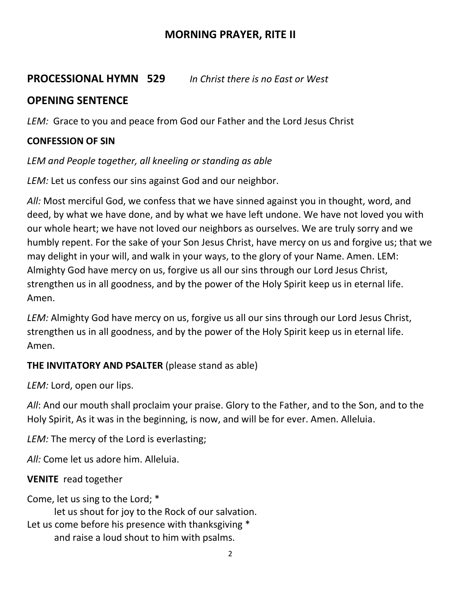## **MORNING PRAYER, RITE II**

## **PROCESSIONAL HYMN 529** *In Christ there is no East or West*

## **OPENING SENTENCE**

*LEM:* Grace to you and peace from God our Father and the Lord Jesus Christ

## **CONFESSION OF SIN**

*LEM and People together, all kneeling or standing as able*

*LEM:* Let us confess our sins against God and our neighbor.

*All:* Most merciful God, we confess that we have sinned against you in thought, word, and deed, by what we have done, and by what we have left undone. We have not loved you with our whole heart; we have not loved our neighbors as ourselves. We are truly sorry and we humbly repent. For the sake of your Son Jesus Christ, have mercy on us and forgive us; that we may delight in your will, and walk in your ways, to the glory of your Name. Amen. LEM: Almighty God have mercy on us, forgive us all our sins through our Lord Jesus Christ, strengthen us in all goodness, and by the power of the Holy Spirit keep us in eternal life. Amen.

*LEM:* Almighty God have mercy on us, forgive us all our sins through our Lord Jesus Christ, strengthen us in all goodness, and by the power of the Holy Spirit keep us in eternal life. Amen.

## **THE INVITATORY AND PSALTER** (please stand as able)

*LEM:* Lord, open our lips.

*All*: And our mouth shall proclaim your praise. Glory to the Father, and to the Son, and to the Holy Spirit, As it was in the beginning, is now, and will be for ever. Amen. Alleluia.

*LEM:* The mercy of the Lord is everlasting;

*All:* Come let us adore him. Alleluia.

**VENITE** read together

Come, let us sing to the Lord; \*

let us shout for joy to the Rock of our salvation. Let us come before his presence with thanksgiving \* and raise a loud shout to him with psalms.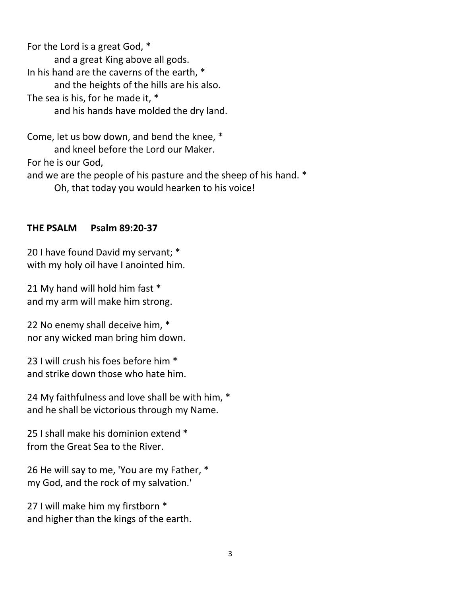For the Lord is a great God, \* and a great King above all gods. In his hand are the caverns of the earth, \* and the heights of the hills are his also. The sea is his, for he made it, \* and his hands have molded the dry land.

Come, let us bow down, and bend the knee, \* and kneel before the Lord our Maker. For he is our God, and we are the people of his pasture and the sheep of his hand. \* Oh, that today you would hearken to his voice!

#### **THE PSALM Psalm 89:20-37**

20 I have found David my servant; \* with my holy oil have I anointed him.

21 My hand will hold him fast \* and my arm will make him strong.

22 No enemy shall deceive him, \* nor any wicked man bring him down.

23 I will crush his foes before him \* and strike down those who hate him.

24 My faithfulness and love shall be with him, \* and he shall be victorious through my Name.

25 I shall make his dominion extend \* from the Great Sea to the River.

26 He will say to me, 'You are my Father, \* my God, and the rock of my salvation.'

27 I will make him my firstborn \* and higher than the kings of the earth.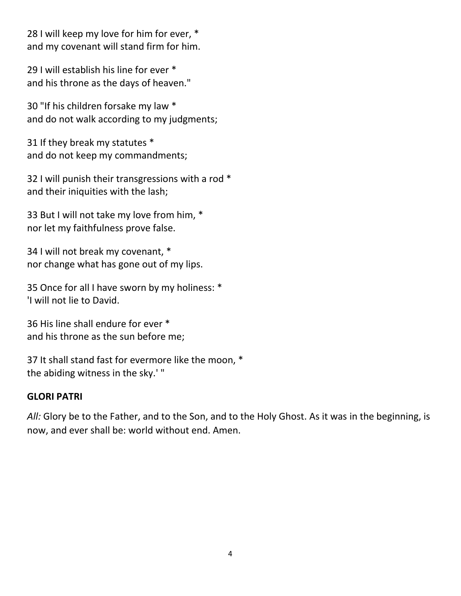28 I will keep my love for him for ever, \* and my covenant will stand firm for him.

29 I will establish his line for ever \* and his throne as the days of heaven."

30 "If his children forsake my law \* and do not walk according to my judgments;

31 If they break my statutes \* and do not keep my commandments;

32 I will punish their transgressions with a rod \* and their iniquities with the lash;

33 But I will not take my love from him, \* nor let my faithfulness prove false.

34 I will not break my covenant, \* nor change what has gone out of my lips.

35 Once for all I have sworn by my holiness: \* 'I will not lie to David.

36 His line shall endure for ever \* and his throne as the sun before me;

37 It shall stand fast for evermore like the moon, \* the abiding witness in the sky.' "

#### **GLORI PATRI**

*All:* Glory be to the Father, and to the Son, and to the Holy Ghost. As it was in the beginning, is now, and ever shall be: world without end. Amen.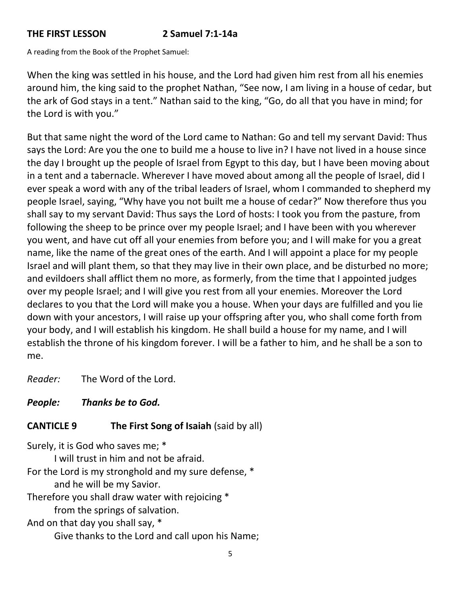#### **THE FIRST LESSON 2 Samuel 7:1-14a**

A reading from the Book of the Prophet Samuel:

When the king was settled in his house, and the Lord had given him rest from all his enemies around him, the king said to the prophet Nathan, "See now, I am living in a house of cedar, but the ark of God stays in a tent." Nathan said to the king, "Go, do all that you have in mind; for the Lord is with you."

But that same night the word of the Lord came to Nathan: Go and tell my servant David: Thus says the Lord: Are you the one to build me a house to live in? I have not lived in a house since the day I brought up the people of Israel from Egypt to this day, but I have been moving about in a tent and a tabernacle. Wherever I have moved about among all the people of Israel, did I ever speak a word with any of the tribal leaders of Israel, whom I commanded to shepherd my people Israel, saying, "Why have you not built me a house of cedar?" Now therefore thus you shall say to my servant David: Thus says the Lord of hosts: I took you from the pasture, from following the sheep to be prince over my people Israel; and I have been with you wherever you went, and have cut off all your enemies from before you; and I will make for you a great name, like the name of the great ones of the earth. And I will appoint a place for my people Israel and will plant them, so that they may live in their own place, and be disturbed no more; and evildoers shall afflict them no more, as formerly, from the time that I appointed judges over my people Israel; and I will give you rest from all your enemies. Moreover the Lord declares to you that the Lord will make you a house. When your days are fulfilled and you lie down with your ancestors, I will raise up your offspring after you, who shall come forth from your body, and I will establish his kingdom. He shall build a house for my name, and I will establish the throne of his kingdom forever. I will be a father to him, and he shall be a son to me.

*Reader:* The Word of the Lord.

## *People: Thanks be to God.*

## **CANTICLE 9 The First Song of Isaiah** (said by all)

Surely, it is God who saves me; \*

I will trust in him and not be afraid.

For the Lord is my stronghold and my sure defense, \*

and he will be my Savior.

Therefore you shall draw water with rejoicing \*

from the springs of salvation.

And on that day you shall say, \*

Give thanks to the Lord and call upon his Name;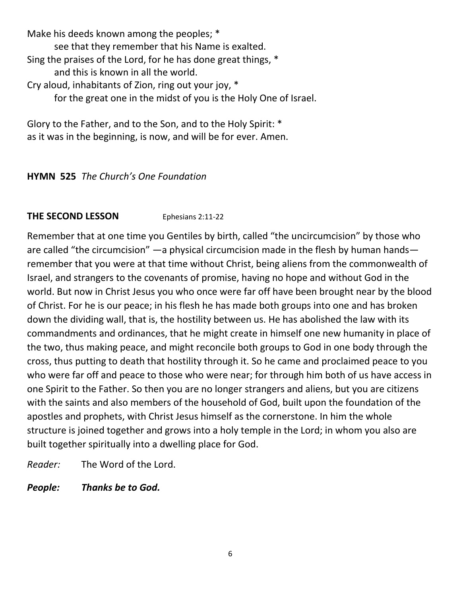Make his deeds known among the peoples; \* see that they remember that his Name is exalted. Sing the praises of the Lord, for he has done great things, \* and this is known in all the world. Cry aloud, inhabitants of Zion, ring out your joy, \* for the great one in the midst of you is the Holy One of Israel.

Glory to the Father, and to the Son, and to the Holy Spirit: \* as it was in the beginning, is now, and will be for ever. Amen.

**HYMN 525** *The Church's One Foundation*

#### **THE SECOND LESSON** Ephesians 2:11-22

Remember that at one time you Gentiles by birth, called "the uncircumcision" by those who are called "the circumcision" —a physical circumcision made in the flesh by human hands remember that you were at that time without Christ, being aliens from the commonwealth of Israel, and strangers to the covenants of promise, having no hope and without God in the world. But now in Christ Jesus you who once were far off have been brought near by the blood of Christ. For he is our peace; in his flesh he has made both groups into one and has broken down the dividing wall, that is, the hostility between us. He has abolished the law with its commandments and ordinances, that he might create in himself one new humanity in place of the two, thus making peace, and might reconcile both groups to God in one body through the cross, thus putting to death that hostility through it. So he came and proclaimed peace to you who were far off and peace to those who were near; for through him both of us have access in one Spirit to the Father. So then you are no longer strangers and aliens, but you are citizens with the saints and also members of the household of God, built upon the foundation of the apostles and prophets, with Christ Jesus himself as the cornerstone. In him the whole structure is joined together and grows into a holy temple in the Lord; in whom you also are built together spiritually into a dwelling place for God.

*Reader:* The Word of the Lord.

*People: Thanks be to God.*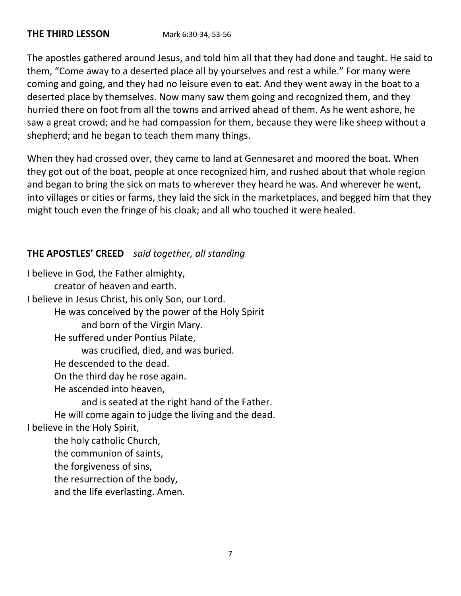The apostles gathered around Jesus, and told him all that they had done and taught. He said to them, "Come away to a deserted place all by yourselves and rest a while." For many were coming and going, and they had no leisure even to eat. And they went away in the boat to a deserted place by themselves. Now many saw them going and recognized them, and they hurried there on foot from all the towns and arrived ahead of them. As he went ashore, he saw a great crowd; and he had compassion for them, because they were like sheep without a shepherd; and he began to teach them many things.

When they had crossed over, they came to land at Gennesaret and moored the boat. When they got out of the boat, people at once recognized him, and rushed about that whole region and began to bring the sick on mats to wherever they heard he was. And wherever he went, into villages or cities or farms, they laid the sick in the marketplaces, and begged him that they might touch even the fringe of his cloak; and all who touched it were healed.

## **THE APOSTLES' CREED** *said together, all standing*

I believe in God, the Father almighty, creator of heaven and earth. I believe in Jesus Christ, his only Son, our Lord. He was conceived by the power of the Holy Spirit and born of the Virgin Mary. He suffered under Pontius Pilate, was crucified, died, and was buried. He descended to the dead. On the third day he rose again. He ascended into heaven, and is seated at the right hand of the Father. He will come again to judge the living and the dead. I believe in the Holy Spirit, the holy catholic Church, the communion of saints, the forgiveness of sins, the resurrection of the body, and the life everlasting. Amen.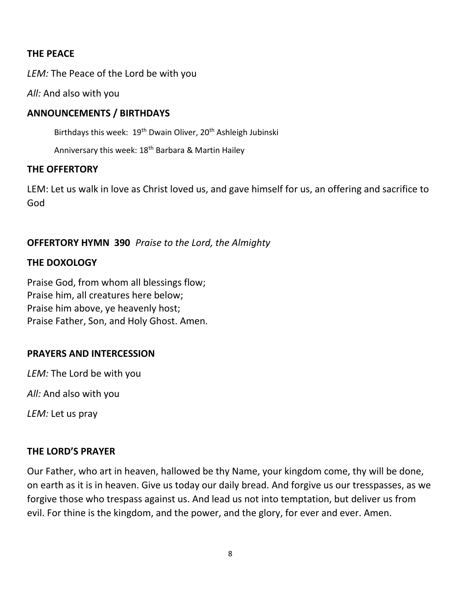#### **THE PEACE**

*LEM:* The Peace of the Lord be with you

*All:* And also with you

### **ANNOUNCEMENTS / BIRTHDAYS**

Birthdays this week: 19<sup>th</sup> Dwain Oliver, 20<sup>th</sup> Ashleigh Jubinski

Anniversary this week: 18<sup>th</sup> Barbara & Martin Hailey

#### **THE OFFERTORY**

LEM: Let us walk in love as Christ loved us, and gave himself for us, an offering and sacrifice to God

#### **OFFERTORY HYMN 390** *Praise to the Lord, the Almighty*

#### **THE DOXOLOGY**

Praise God, from whom all blessings flow; Praise him, all creatures here below; Praise him above, ye heavenly host; Praise Father, Son, and Holy Ghost. Amen.

#### **PRAYERS AND INTERCESSION**

*LEM:* The Lord be with you

*All:* And also with you

*LEM:* Let us pray

#### **THE LORD'S PRAYER**

Our Father, who art in heaven, hallowed be thy Name, your kingdom come, thy will be done, on earth as it is in heaven. Give us today our daily bread. And forgive us our tresspasses, as we forgive those who trespass against us. And lead us not into temptation, but deliver us from evil. For thine is the kingdom, and the power, and the glory, for ever and ever. Amen.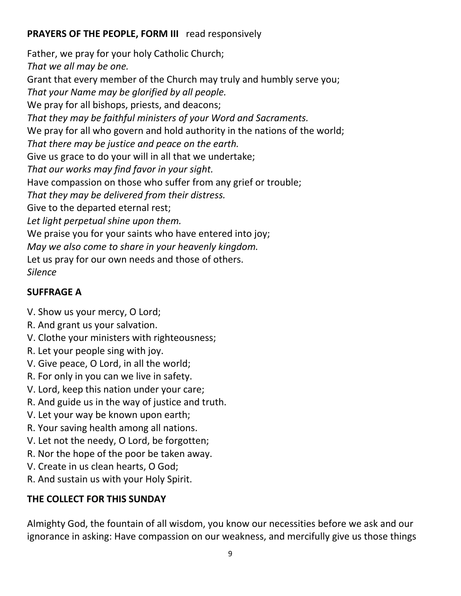## PRAYERS OF THE PEOPLE, FORM III read responsively

Father, we pray for your holy Catholic Church; *That we all may be one.* Grant that every member of the Church may truly and humbly serve you; *That your Name may be glorified by all people.* We pray for all bishops, priests, and deacons; *That they may be faithful ministers of your Word and Sacraments.* We pray for all who govern and hold authority in the nations of the world; *That there may be justice and peace on the earth.* Give us grace to do your will in all that we undertake; *That our works may find favor in your sight.* Have compassion on those who suffer from any grief or trouble; *That they may be delivered from their distress.* Give to the departed eternal rest; *Let light perpetual shine upon them.* We praise you for your saints who have entered into joy; *May we also come to share in your heavenly kingdom.* Let us pray for our own needs and those of others. *Silence*

## **SUFFRAGE A**

- V. Show us your mercy, O Lord;
- R. And grant us your salvation.
- V. Clothe your ministers with righteousness;
- R. Let your people sing with joy.
- V. Give peace, O Lord, in all the world;
- R. For only in you can we live in safety.
- V. Lord, keep this nation under your care;
- R. And guide us in the way of justice and truth.
- V. Let your way be known upon earth;
- R. Your saving health among all nations.
- V. Let not the needy, O Lord, be forgotten;
- R. Nor the hope of the poor be taken away.
- V. Create in us clean hearts, O God;
- R. And sustain us with your Holy Spirit.

## **THE COLLECT FOR THIS SUNDAY**

Almighty God, the fountain of all wisdom, you know our necessities before we ask and our ignorance in asking: Have compassion on our weakness, and mercifully give us those things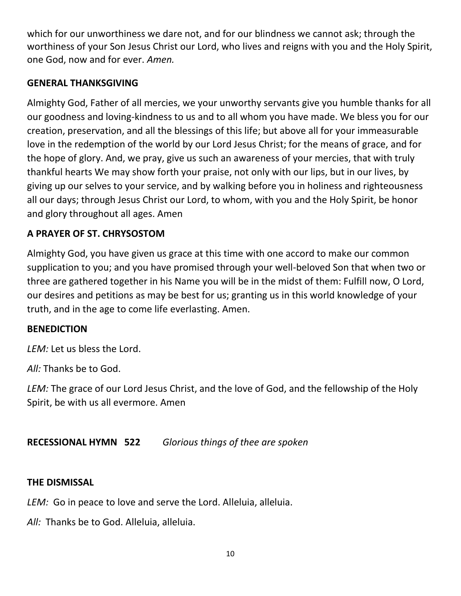which for our unworthiness we dare not, and for our blindness we cannot ask; through the worthiness of your Son Jesus Christ our Lord, who lives and reigns with you and the Holy Spirit, one God, now and for ever. *Amen.*

#### **GENERAL THANKSGIVING**

Almighty God, Father of all mercies, we your unworthy servants give you humble thanks for all our goodness and loving-kindness to us and to all whom you have made. We bless you for our creation, preservation, and all the blessings of this life; but above all for your immeasurable love in the redemption of the world by our Lord Jesus Christ; for the means of grace, and for the hope of glory. And, we pray, give us such an awareness of your mercies, that with truly thankful hearts We may show forth your praise, not only with our lips, but in our lives, by giving up our selves to your service, and by walking before you in holiness and righteousness all our days; through Jesus Christ our Lord, to whom, with you and the Holy Spirit, be honor and glory throughout all ages. Amen

#### **A PRAYER OF ST. CHRYSOSTOM**

Almighty God, you have given us grace at this time with one accord to make our common supplication to you; and you have promised through your well-beloved Son that when two or three are gathered together in his Name you will be in the midst of them: Fulfill now, O Lord, our desires and petitions as may be best for us; granting us in this world knowledge of your truth, and in the age to come life everlasting. Amen.

#### **BENEDICTION**

*LEM:* Let us bless the Lord.

*All:* Thanks be to God.

*LEM:* The grace of our Lord Jesus Christ, and the love of God, and the fellowship of the Holy Spirit, be with us all evermore. Amen

**RECESSIONAL HYMN 522** *Glorious things of thee are spoken*

#### **THE DISMISSAL**

*LEM:* Go in peace to love and serve the Lord. Alleluia, alleluia.

*All:* Thanks be to God. Alleluia, alleluia.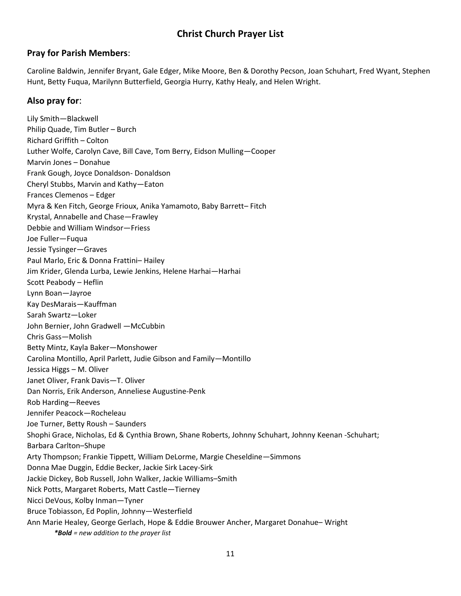#### **Christ Church Prayer List**

#### **Pray for Parish Members**:

Caroline Baldwin, Jennifer Bryant, Gale Edger, Mike Moore, Ben & Dorothy Pecson, Joan Schuhart, Fred Wyant, Stephen Hunt, Betty Fuqua, Marilynn Butterfield, Georgia Hurry, Kathy Healy, and Helen Wright.

#### **Also pray for**:

Lily Smith—Blackwell Philip Quade, Tim Butler – Burch Richard Griffith – Colton Luther Wolfe, Carolyn Cave, Bill Cave, Tom Berry, Eidson Mulling—Cooper Marvin Jones – Donahue Frank Gough, Joyce Donaldson- Donaldson Cheryl Stubbs, Marvin and Kathy—Eaton Frances Clemenos – Edger Myra & Ken Fitch, George Frioux, Anika Yamamoto, Baby Barrett– Fitch Krystal, Annabelle and Chase—Frawley Debbie and William Windsor—Friess Joe Fuller—Fuqua Jessie Tysinger—Graves Paul Marlo, Eric & Donna Frattini– Hailey Jim Krider, Glenda Lurba, Lewie Jenkins, Helene Harhai—Harhai Scott Peabody – Heflin Lynn Boan—Jayroe Kay DesMarais—Kauffman Sarah Swartz—Loker John Bernier, John Gradwell —McCubbin Chris Gass—Molish Betty Mintz, Kayla Baker—Monshower Carolina Montillo, April Parlett, Judie Gibson and Family—Montillo Jessica Higgs – M. Oliver Janet Oliver, Frank Davis—T. Oliver Dan Norris, Erik Anderson, Anneliese Augustine-Penk Rob Harding—Reeves Jennifer Peacock—Rocheleau Joe Turner, Betty Roush – Saunders Shophi Grace, Nicholas, Ed & Cynthia Brown, Shane Roberts, Johnny Schuhart, Johnny Keenan -Schuhart; Barbara Carlton–Shupe Arty Thompson; Frankie Tippett, William DeLorme, Margie Cheseldine—Simmons Donna Mae Duggin, Eddie Becker, Jackie Sirk Lacey-Sirk Jackie Dickey, Bob Russell, John Walker, Jackie Williams–Smith Nick Potts, Margaret Roberts, Matt Castle—Tierney Nicci DeVous, Kolby Inman—Tyner Bruce Tobiasson, Ed Poplin, Johnny—Westerfield Ann Marie Healey, George Gerlach, Hope & Eddie Brouwer Ancher, Margaret Donahue– Wright *\*Bold = new addition to the prayer list*